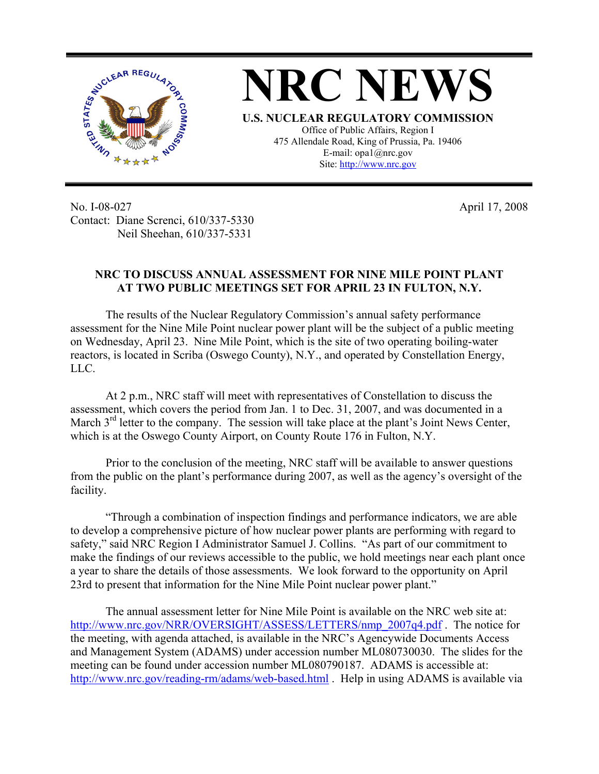

No. I-08-027 Contact: Diane Screnci, 610/337-5330 Neil Sheehan, 610/337-5331

April 17, 2008

## **NRC TO DISCUSS ANNUAL ASSESSMENT FOR NINE MILE POINT PLANT AT TWO PUBLIC MEETINGS SET FOR APRIL 23 IN FULTON, N.Y.**

The results of the Nuclear Regulatory Commission's annual safety performance assessment for the Nine Mile Point nuclear power plant will be the subject of a public meeting on Wednesday, April 23. Nine Mile Point, which is the site of two operating boiling-water reactors, is located in Scriba (Oswego County), N.Y., and operated by Constellation Energy, LLC.

At 2 p.m., NRC staff will meet with representatives of Constellation to discuss the assessment, which covers the period from Jan. 1 to Dec. 31, 2007, and was documented in a March  $3<sup>rd</sup>$  letter to the company. The session will take place at the plant's Joint News Center, which is at the Oswego County Airport, on County Route 176 in Fulton, N.Y.

Prior to the conclusion of the meeting, NRC staff will be available to answer questions from the public on the plant's performance during 2007, as well as the agency's oversight of the facility.

"Through a combination of inspection findings and performance indicators, we are able to develop a comprehensive picture of how nuclear power plants are performing with regard to safety," said NRC Region I Administrator Samuel J. Collins. "As part of our commitment to make the findings of our reviews accessible to the public, we hold meetings near each plant once a year to share the details of those assessments. We look forward to the opportunity on April 23rd to present that information for the Nine Mile Point nuclear power plant."

The annual assessment letter for Nine Mile Point is available on the NRC web site at: [http://www.nrc.gov/NRR/OVERSIGHT/ASSESS/LETTERS/nmp\\_2007q4.pdf](http://www.nrc.gov/NRR/OVERSIGHT/ASSESS/LETTERS/nmp_2007q4.pdf) . The notice for the meeting, with agenda attached, is available in the NRC's Agencywide Documents Access and Management System (ADAMS) under accession number ML080730030. The slides for the meeting can be found under accession number ML080790187. ADAMS is accessible at: <http://www.nrc.gov/reading-rm/adams/web-based.html> . Help in using ADAMS is available via